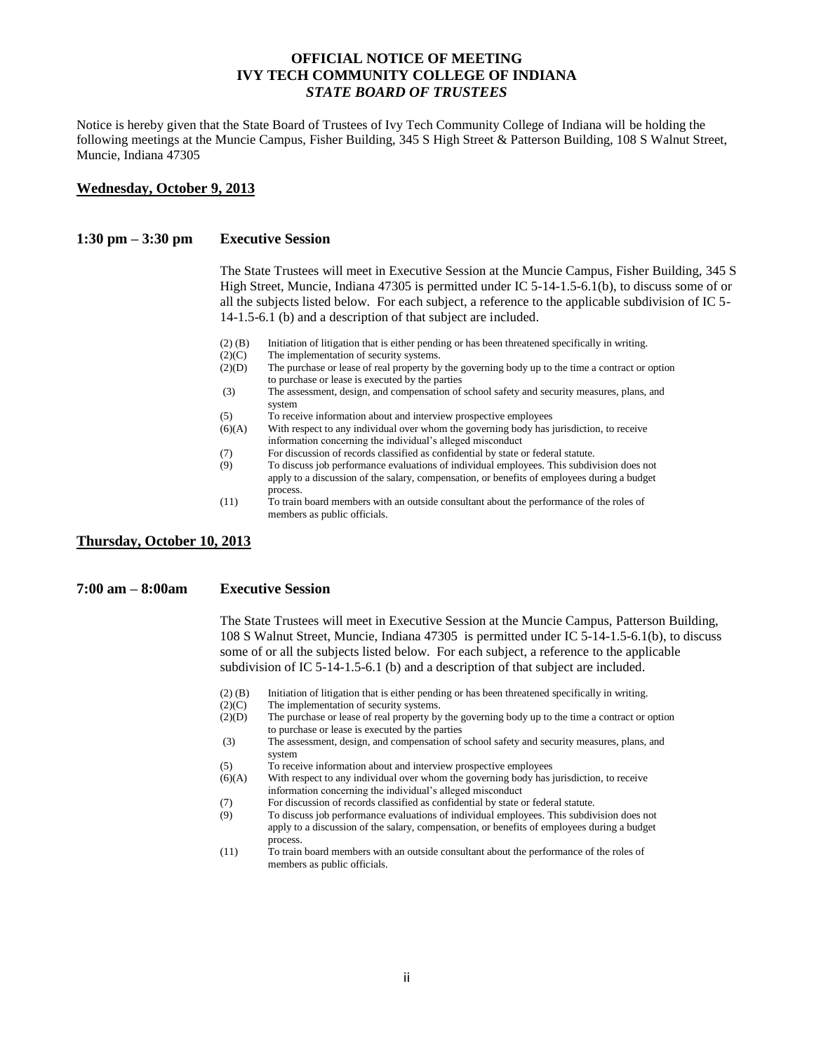## **OFFICIAL NOTICE OF MEETING IVY TECH COMMUNITY COLLEGE OF INDIANA** *STATE BOARD OF TRUSTEES*

Notice is hereby given that the State Board of Trustees of Ivy Tech Community College of Indiana will be holding the following meetings at the Muncie Campus, Fisher Building, 345 S High Street & Patterson Building, 108 S Walnut Street, Muncie, Indiana 47305

#### **Wednesday, October 9, 2013**

#### **1:30 pm – 3:30 pm Executive Session**

The State Trustees will meet in Executive Session at the Muncie Campus, Fisher Building, 345 S High Street, Muncie, Indiana 47305 is permitted under IC 5-14-1.5-6.1(b), to discuss some of or all the subjects listed below. For each subject, a reference to the applicable subdivision of IC 5- 14-1.5-6.1 (b) and a description of that subject are included.

- (2) (B) Initiation of litigation that is either pending or has been threatened specifically in writing.
- (2)(C) The implementation of security systems.
- (2)(D) The purchase or lease of real property by the governing body up to the time a contract or option to purchase or lease is executed by the parties
- (3) The assessment, design, and compensation of school safety and security measures, plans, and system
- (5) To receive information about and interview prospective employees
- (6)(A) With respect to any individual over whom the governing body has jurisdiction, to receive information concerning the individual's alleged misconduct
- (7) For discussion of records classified as confidential by state or federal statute.
- (9) To discuss job performance evaluations of individual employees. This subdivision does not apply to a discussion of the salary, compensation, or benefits of employees during a budget
- process. (11) To train board members with an outside consultant about the performance of the roles of members as public officials.

### **Thursday, October 10, 2013**

#### **7:00 am – 8:00am Executive Session**

The State Trustees will meet in Executive Session at the Muncie Campus, Patterson Building, 108 S Walnut Street, Muncie, Indiana 47305 is permitted under IC 5-14-1.5-6.1(b), to discuss some of or all the subjects listed below. For each subject, a reference to the applicable subdivision of IC 5-14-1.5-6.1 (b) and a description of that subject are included.

- (2) (B) Initiation of litigation that is either pending or has been threatened specifically in writing.
- (2)(C) The implementation of security systems.
- (2)(D) The purchase or lease of real property by the governing body up to the time a contract or option to purchase or lease is executed by the parties
- (3) The assessment, design, and compensation of school safety and security measures, plans, and system
- (5) To receive information about and interview prospective employees
- (6)(A) With respect to any individual over whom the governing body has jurisdiction, to receive information concerning the individual's alleged misconduct
- (7) For discussion of records classified as confidential by state or federal statute.
- (9) To discuss job performance evaluations of individual employees. This subdivision does not apply to a discussion of the salary, compensation, or benefits of employees during a budget process.
- (11) To train board members with an outside consultant about the performance of the roles of members as public officials.